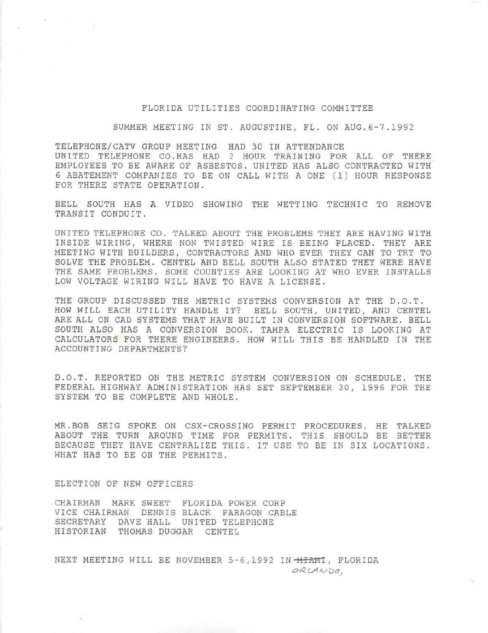#### FLORIDA UTILITIES COORDINATING COMMITTEE

SUMMER MEETING IN ST. AUGUSTINE, FL. ON AUG.6-7.1992

TELEPHONE/CATV GROUP MEETING HAD 30 IN ATTENDANCE UNITED TELEPHONE CO.HAS HAD 2 HOUR TRAINING FOR ALL OF THERE EMPLOYEES TO BE AWARE OF ASBESTOS. UNITED HAS ALSO CONTRACTED WITH' 6 ABATEMENT COMPANIES TO BE ON CALL WITH A ONE (1) HOUR RESPONSE FOR THERE STATE OPERATION.

BELL SOUTH HAS A VIDEO SHOWING THE WETTING TECHNIC TO REMOVE TRANSIT CONDUIT.

UNITED TELEPHONE CO. TALKED ABOUT THE PROBLEMS THEY ARE HAVING WITH INSIDE WIRING, WHERE NON TWISTED WIRE IS BEING PLACED. THEY ARE MEETING WITH BUILDERS, CONTRACTORS AND WHO EVER THEY CAN TO TRY TO SOLVE THE PROBLEM. CENTEL AND BELL SOUTH ALSO STATED THEY WERE HAVE THE SAME PROBLEMS. SOME COUNTIES ARE LOOKING AT WHO EVER INSTALLS LOW VOLTAGE WIRING WILL HAVE TO HAVE A LICENSE.

THE GROUP DISCUSSED THE METRIC SYSTEMS CONVERSION AT THE D.O.T. HOW WILL EACH UTILITY HANDLE IT? BELL SOUTH, UNITED, AND CENTEL ARE ALL ON CAD SYSTEMS THAT HAVE BUILT IN CONVERSION SOFTWARE. BELL SOUTH ALSO HAS A CONVERSION BOOK. TAMPA ELECTRIC IS LOOKING AT CALCULATORS FOR THERE ENGINEERS. HOW WILL THIS BE HANDLED IN THE ACCOUNTING DEPARTMENTS?

D.O.T. REPORTED ON THE METRIC SYSTEM CONVERSION ON SCHEDULE. THE FEDERAL HIGHWAY ADMINISTRATION HAS SET SEPTEMBER 30, 1996 FOR THE SYSTEM TO BE COMPLETE AND WHOLE.

MR.BOB SEIG SPOKE ON CSX-CROSSING PERMIT PROCEDURES. HE TALKED ABOUT THE TURN AROUND TIME FOR PERMITS. THIS SHOULD BE BETTER BECAUSE THEY HAVE CENTRALIZE THIS. IT USE TO BE IN SIX LOCATIONS. WHAT HAS TO BE ON THE PERMITS.

ELECTION OF NEW OFFICERS

•CHAIRMAN MARK SWEET FLORIDA POWER CORP VICE CHAIRMAN DENNIS BLACK PARAGON CABLE SECRETARY DAVE HALL UNITED TELEPHONE HISTORIAN THOMAS DUGGAR CENTEL

NEXT MEETING WILL BE NOVEMBER 5-6,1992 IN **MIAMI**, FLORIDA ORLANDO,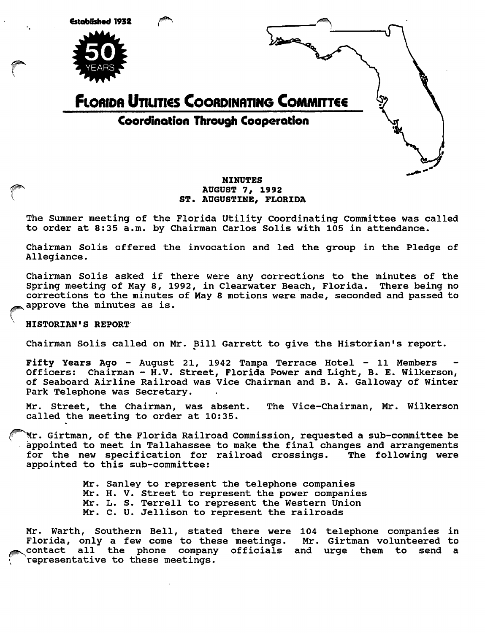

# MINUTES<br>AUGUST 7, 1992 ST. AUGUSTINE, FLORIDA

The Summer meeting of the Florida Utility Coordinating Committee was called to order at 8:35 a.m. by Chairman Carlos Solis with 105 in attendance.

Chairman Solis offered the invocation and led the group in the Pledge of Allegiance.

Chairman Solis asked if there were any corrections to the minutes of the Spring meeting of May 8, 1992, in Clearwater Beach, Florida. There being no corrections to the minutes of May 8 motions were made, seconded and passed to approve the minutes as is.

### HISTORIAN'S REPORT

 $\Delta$ 

Chairman Solis called on Mr. Bill Garrett to give the Historian's report.

Fifty Years Ago - August 21, 1942 Tampa Terrace Hotel - 11 Members Officers: Chairman - H.V. Street, Florida Power and Light, B. E. Wilkerson, of Seaboard Airline Railroad was Vice Chairman and B. A. Galloway of Winter Park Telephone was Secretary.

Mr. Street, the Chairman, was absent. The Vice-chairman, Mr. Wilkerson called the meeting to order at 10:35.

Mr. Girtman, of the Florida Railroad Commission, requested a sub-committee be appointed to meet in Tallahassee to make the final changes and arrangements for the new specification for railroad crossings. The following were appointed to this sub-committee:

> Mr. Sanley to represent the telephone companies Mr. H. V. street to represent the power companies Mr. L. S. Terrell to represent the Western Union Mr. C. U. Jellison to represent the railroads

Mr. Warth, Southern Bell, stated there were 104 telephone companies in<br>Florida, only a few come to these meetings. Mr. Girtman volunteered to Florida, only a few come to these meetings. contact all the phone company officials and urge them to send a representative to these meetings.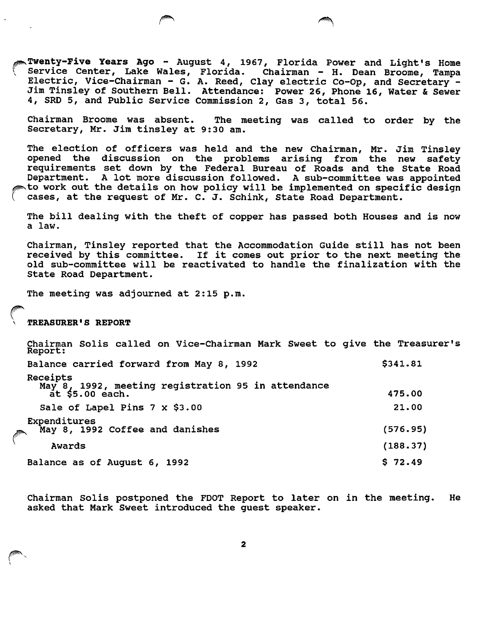Twenty-Five Years Ago - August 4, 1967, Florida Power and Light's Home Service Center, Lake Wales, Florida. Chairman - H. Dean Broome, Tampa Electric, Vice-chairman - G. A. Reed, Clay electric Co-Op, and Secretary - Jim Tinsley of Southern Bell. Attendance: Power 26, Phone 16, Water & Sewer 4, SRD 5, and Public Service Commission 2, Gas 3, total 56.

Chairman Broome was absent. The meeting was called to order by the Secretary, Mr. Jim tinsley at 9:30 am.

The election of officers was held and the new Chairman, Mr. Jim Tinsley opened the discussion on the problems arising from the new safety requirements set down by the Federal Bureau of Roads and the State Road Department. A lot more discussion followed. A sub-committee was appointed to work out the details on how policy will be implemented on specific design cases, at the request of Mr. C. J. Schink, State Road Department.

The bill dealing with the theft of copper has passed both Houses and is now a law.

Chairman, Tinsley reported that the Accommodation Guide still has not been received by this committee. If it comes out prior to the next meeting the old sub-committee will be reactivated to handle the finalization with the State Road Department.

The meeting was adjourned at 2:15 p.m.

TREASURER'S REPORT

Chairman Solis called on Vice-Chairman Mark Sweet to give the Treasurer's Report: Balance carried forward from May 8, 1992 **1992** \$341.81 Receipts May 8. 1992, meeting registration 95 in attendance  $\frac{1}{2}$  at \$5.00 each.  $\frac{1}{2}$  475.00 Sale of Lapel Pins 7 x \$3.00 21.00 Expenditures ^ May 8, 1992 Coffee and danishes (576.95) Awards (188.37) Balance as of August 6, 1992 **\$ 72.49** 

Chairman Solis postponed the FDOT Report to later on in the meeting. He asked that Mark Sweet introduced the guest speaker.

 $\overline{\mathbf{2}}$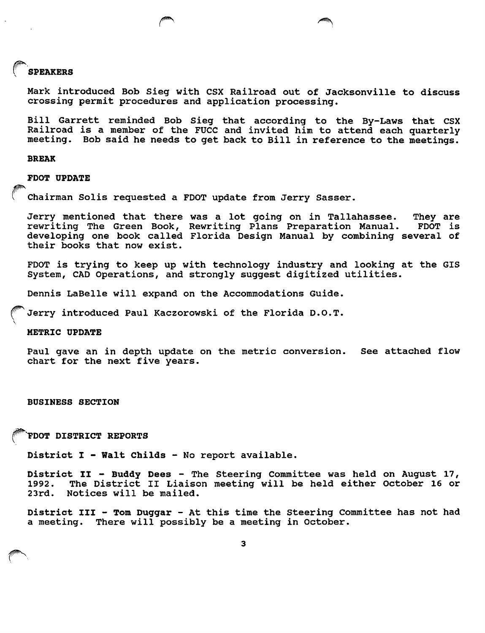#### SPEAKERS

Mark Introduced Bob Sieg with CSX Railroad out of Jacksonville to discuss crossing permit procedures and application processing.

Bill Garrett reminded Bob Sieg that according to the By-Laws that CSX Railroad is a member of the FUCC and invited him to attend each quarterly meeting. Bob said he needs to get back to Bill in reference to the meetings.

#### BREAK

FOOT UPDATE

Chairman Solis requested a FDOT update from Jerry Sasser.

Jerry mentioned that there was a lot going on in Tallahassee. They are<br>rewriting The Green Book, Rewriting Plans Preparation Manual. FDOT is rewriting The Green Book, Rewriting Plans Preparation Manual. developing one book called Florida Design Manual by combining several of their books that now exist.

FDOT is trying to keep up with technology industry and looking at the GIS System, CAD Operations, and strongly suggest digitized utilities.

Dennis LaBelle will expand on the Accommodations Guide.

Jerry introduced Paul Kaczorowski of the Florida D.O.T.

METRIC UPDATE

Paul gave an in depth update on the metric conversion. See attached flow chart for the next five years.

BUSINESS SECTION

FDOT DISTRICT REPORTS

District I - Walt Childs - No report available.

District II - Buddy Dees - The Steering Committee was held on August 17,<br>1992. The District II Liaison meeting will be held either October 16 or 1992. The District II Liaison meeting will be held either October 16 or<br>23rd. Notices will be mailed. Notices will be mailed.

District III - Tom Duggar - At this time the Steering Committee has not had a meeting. There will possibly be a meeting in October.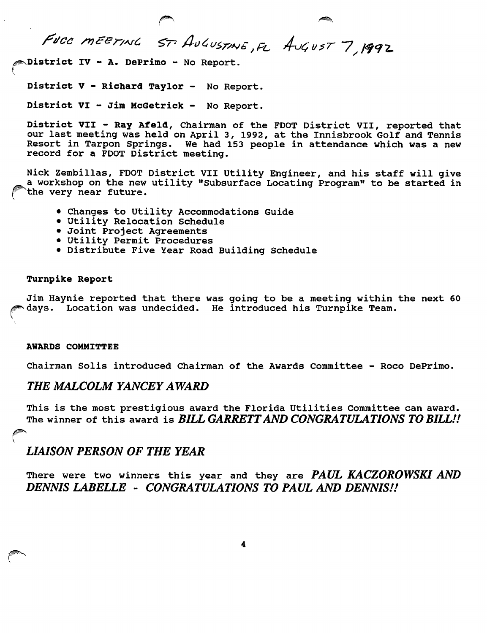FUCC MEETING ST. AUGUSTINE, FL AUGUST 7, 1992

District IV - A. DePrimo - No Report.

District V - Richard Taylor - No Report.

District VI - Jim McGetrick - No Report.

District VII - Ray Afeld, Chairman of the FDOT District VII, reported that our last meeting was held on April 3, 1992, at the Innisbrook Golf and Tennis Resort in Tarpon Springs. We had 153 people in attendance which was a new record for a FOOT District meeting.

Nick Zembillas, FDOT District VII Utility Engineer, and his staff will give a workshop on the new utility "Subsurface Locating Program" to be started in ^the very near future.

- Changes to Utility Accommodations Guide
- Utility Relocation Schedule
- Joint Project Agreements
- Utility Permit Procedures
- Distribute Five Year Road Building Schedule

### Turnpike Report

Jim Haynie reported that there was going to be a meeting within the next 60 days. Location was undecided. He introduced his Turnpike Team.

### AWARDS COMMITTEE

Chairman Solis introduced Chairman of the Awards Committee - Roco DePrimo.

## THE MALCOLM YANCEY AWARD

This is the most prestigious award the Florida Utilities Committee can award. The winner of this award is BILL GARRETT AND CONGRATULATIONS TO BILL!!  $\ddot{\phantom{1}}$ 

## LIAISON PERSON OF THE YEAR

There were two winners this year and they are PAUL KACZOROWSKI AND DENNIS LABELLE - CONGRATULATIONS TO PAUL AND DENNIS!!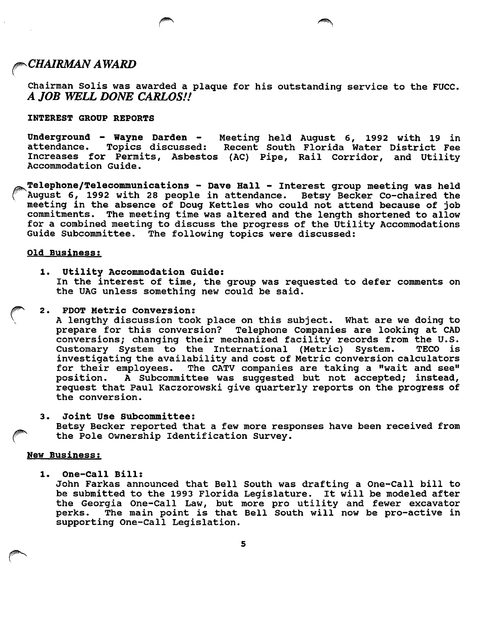## $\scriptstyle\bullet$ CHAIRMAN AWARD

Chairman Soils was awarded a plaque for his outstanding service to the FUCC. A JOB WELL DONE CARLOS!!

### INTEREST GROUP REPORTS

Underground - Wayne Darden - Meeting held August 6, 1992 with 19 in<br>attendance. Topics discussed: Recent South Florida Water District Fee Topics discussed: Recent South Florida Water District Fee Increases for Permits, Asbestos (AC) Pipe, Rail Corridor, and Utility Accommodation Guide.

Telephone/Telecommunications - Dave Hall - Interest group meeting was held<br>August 6, 1992 with 28 people in attendance. Betsy Becker Co-chaired the August 6, 1992 with 28 people in attendance. meeting in the absence of Doug Kettles who could not attend because of job commitments. The meeting time was altered and the length shortened to allow for a combined meeting to discuss the progress of the Utility Accommodations Guide Subcommittee. The following topics were discussed:

### Old Business:

1. Utility Accommodation Guide: In the interest of time, the group was requested to defer comments on the UAG unless something new could be said.

### 2. PDOT Metric Conversion:

A lengthy discussion took place on this subject. What are we doing to prepare for this conversion? Telephone Companies are looking at CAD conversions; changing their mechanized facility records from the U.S. Customary System to the International (Metric) System. TECO is investigating the availability and cost of Metric conversion calculators for their employees. The CATV companies are taking a "wait and see" position. A Subcommittee was suggested but not accepted; instead, A Subcommittee was suggested but not accepted; instead, request that Paul Kaczorowski give quarterly reports on the progress of the conversion.

3. Joint Use Subcommittee:

Betsy Becker reported that a few more responses have been received from the Pole Ownership Identification Survey.

### New Business:

1. One-Call Bill:

John Farkas announced that Bell South was drafting a One-Call bill to be submitted to the 1993 Florida Legislature. It will be modeled after the Georgia One-Call Law, but more pro utility and fewer excavator perks. The main point is that Bell South will now be pro-active in supporting One-Call Legislation.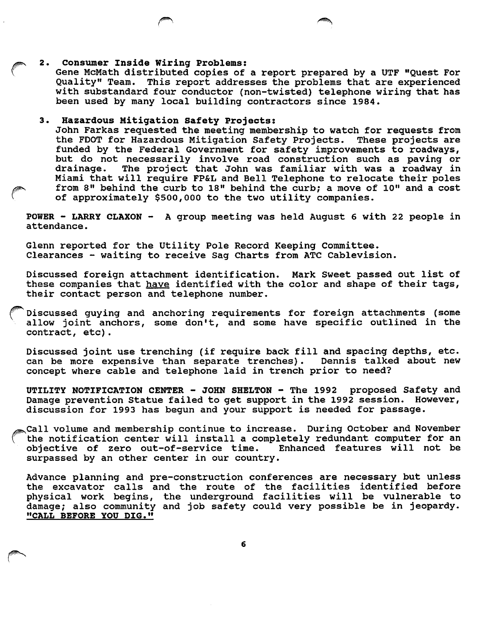### 2. Consumer Inside Wiring Problems:

Gene McMath distributed copies of a report prepared by a UTF "Quest For Quality" Team. This report addresses the problems that are experienced with substandard four conductor (non-twisted) telephone wiring that has been used by many local building contractors since 1984.

### 3. Hazardous Mitigation Safety Projects:

John Farkas requested the meeting membership to watch for requests from the FOOT for Hazardous Mitigation Safety Projects. These projects are funded by the Federal Government for safety improvements to roadways, but do not necessarily involve road construction such as paving or drainage. The project that John was familiar with was a roadway in Miami that will require FP&L and Bell Telephone to relocate their poles from 8" behind the curb to 18" behind the curb; a move of 10" and a cost of approximately \$500,000 to the two utility companies.

POWER - LARRY CLAXON - A group meeting was held August 6 with 22 people in attendance.

Glenn reported for the Utility Pole Record Keeping Committee. Clearances - waiting to receive Sag Charts from ATC Cablevision.

Discussed foreign attachment identification. Mark Sweet passed out list of these companies that have identified with the color and shape of their tags, their contact person and telephone number.

Discussed guying and anchoring requirements for foreign attachments (some allow joint anchors, some don't, and some have specific outlined in the contract, etc).

Discussed joint use trenching (if require back fill and spacing depths, etc. can be more expensive than separate trenches). Dennis talked about new concept where cable and telephone laid in trench prior to need?

UTILITY NOTIFICATION CENTER - JOHN SHELTON - The 1992 proposed Safety and Damage prevention Statue failed to get support in the 1992 session. However, discussion for 1993 has begun and your support is needed for passage.

Call volume and membership continue to increase. During October and November the notification center will install a completely redundant computer for an objective of zero out-of-service time. Enhanced features will not be objective of zero out-of-service time. surpassed by an other center in our country.

Advance planning and pre-construction conferences are necessary but unless the excavator calls and the route of the facilities identified before physical work begins, the underground facilities will be vulnerable to damage; also community and job safety could very possible be in jeopardy. "CALL BEFORE YOU DIG."

6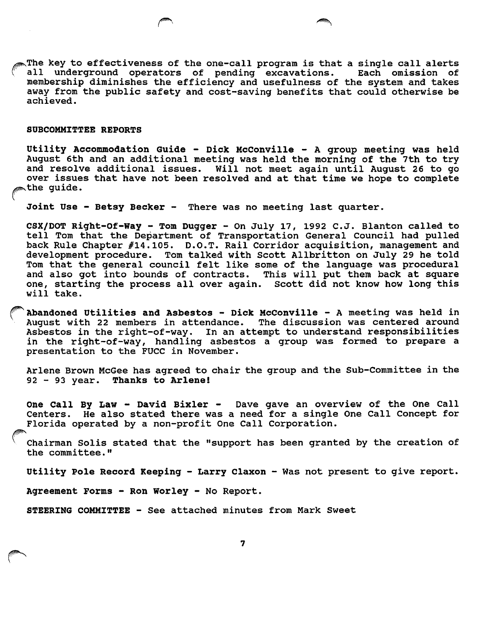$\mathbb R$ The key to effectiveness of the one-call program is that a single call alerts all underground operators of pending excavations. Each omission of membership diminishes the efficiency and usefulness of the system and takes away from the public safety and cost-saving benefits that could otherwise be achieved.

### SUBCOMMITTEE REPORTS

Utility Accommodation Guide - Dick McConville - A group meeting was held August 6th and an additional meeting was held the morning of the 7th to try and resolve additional issues. Will not meet again until August 26 to go over issues that have not been resolved and at that time we hope to complete the quide.

Joint Use - Betsy Becker - There was no meeting last quarter.

CSX/DOT Right-Of-Way - Tom Dugger - On July 17, 1992 C.J. Blanton called to tell Tom that the Department of Transportation General Council had pulled back Rule Chapter #14.105. D.O.T. Rail Corridor acquisition, management and development procedure. Tom talked with Scott Allbritton on July 29 he told Tom that the general council felt like some of the language was procedural and also got into bounds of contracts. This will put them back at square one, starting the process all over again. Scott did not know how long this will take.

Abandoned Utilities and Asbestos - Dick McConville - A meeting was held in August with 22 members in attendance. The discussion was centered around Asbestos in the right-of-way. In an attempt to understand responsibilities in the right-of-way, handling asbestos a group was formed to prepare a presentation to the FUCC in November.

Arlene Brown McGee has agreed to chair the group and the Sub-Committee in the 92 - 93 year. Thanks to Arlene!

One call By Law - David Bixler - Dave gave an overview of the One Call Centers. He also stated there was a need for a single One Call Concept for Florida operated by a non-profit One Call Corporation.

Chairman Solis stated that the "support has been granted by the creation of the committee."

Utility Pole Record Keeping - Larry Claxon - Was not present to give report.

Agreement Forms - Ron Worley - No Report.

STEERING COMMITTEE - See attached minutes from Mark Sweet